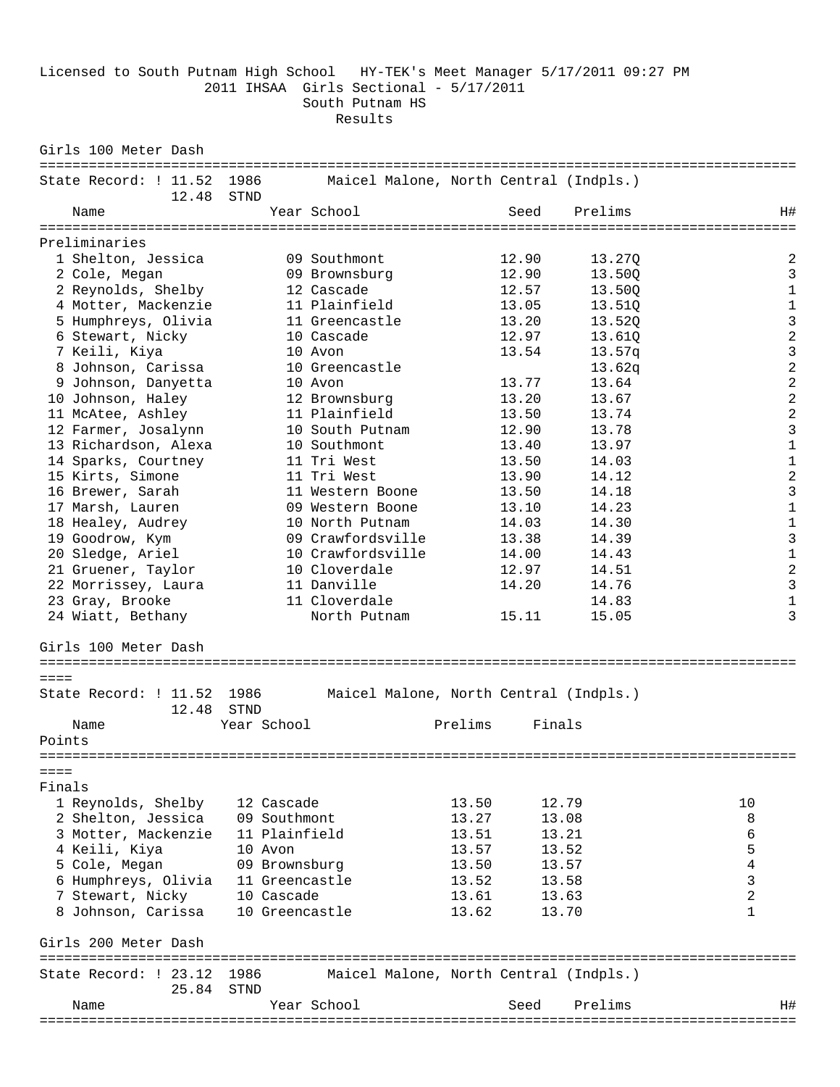Licensed to South Putnam High School HY-TEK's Meet Manager 5/17/2011 09:27 PM 2011 IHSAA Girls Sectional - 5/17/2011 South Putnam HS Results

Girls 100 Meter Dash ============================================================================================ State Record: ! 11.52 1986 Maicel Malone, North Central (Indpls.) 12.48 STND Name Year School Seed Prelims H# ============================================================================================ Preliminaries<br>1 Shelton, Jessica 1 Shelton, Jessica 09 Southmont 12.90 13.27Q 2 2 Cole, Megan 09 Brownsburg 12.90 13.50Q 3 2 Reynolds, Shelby 12 Cascade 12.57 13.50Q 1 4 Motter, Mackenzie 11 Plainfield 13.05 13.51Q 1 5 Humphreys, Olivia 11 Greencastle 13.20 13.52Q 3 6 Stewart, Nicky 10 Cascade 12.97 13.61Q 2 7 Keili, Kiya 10 Avon 13.54 13.57q 3 8 Johnson, Carissa 10 Greencastle 13.62q 2 9 Johnson, Danyetta 10 Avon 13.77 13.64 2 10 Johnson, Haley 12 Brownsburg 13.20 13.67 2 11 McAtee, Ashley 11 Plainfield 13.50 13.74 2 12 Farmer, Josalynn 10 South Putnam 12.90 13.78 3 13 Richardson, Alexa 10 Southmont 13.40 13.97 1 14 Sparks, Courtney 11 Tri West 13.50 14.03 1 15 Kirts, Simone 11 Tri West 13.90 14.12 2 16 Brewer, Sarah 11 Western Boone 13.50 14.18 3 17 Marsh, Lauren 09 Western Boone 13.10 14.23 1 18 Healey, Audrey 10 North Putnam 14.03 14.30 1 19 Goodrow, Kym 09 Crawfordsville 13.38 14.39 3 20 Sledge, Ariel 10 Crawfordsville 14.00 14.43 1 21 Gruener, Taylor 10 Cloverdale 12.97 14.51 2 22 Morrissey, Laura 11 Danville 14.20 14.76 3 23 Gray, Brooke 11 Cloverdale 14.83 1 22 Morrissey, Laura (1998)<br>23 Gray, Brooke (1998)<br>24 Wiatt, Bethany (1998) North Putnam (15.11 15.05 ) 3 Girls 100 Meter Dash ============================================================================================ ==== State Record: ! 11.52 1986 Maicel Malone, North Central (Indpls.) 12.48 STND Name Year School Prelims Finals Points ============================================================================================  $=$ Finals 1 Reynolds, Shelby 12 Cascade 13.50 12.79 10 2 Shelton, Jessica 09 Southmont 13.27 13.08 8 3 Motter, Mackenzie 11 Plainfield 13.51 13.21 6<br>4 Keili, Kiya 10 Avon 13.57 13.52 5 4 Keili, Kiya 10 Avon 13.57 13.52 5 5 Cole, Megan 09 Brownsburg 13.50 13.57 4 6 Humphreys, Olivia 11 Greencastle 13.52 13.58 3 7 Stewart, Nicky 10 Cascade 13.61 13.63 2 8 Johnson, Carissa 10 Greencastle 13.62 13.70 1 Girls 200 Meter Dash ============================================================================================ State Record: ! 23.12 1986 Maicel Malone, North Central (Indpls.) 25.84 STND Name Year School Seed Prelims H# ============================================================================================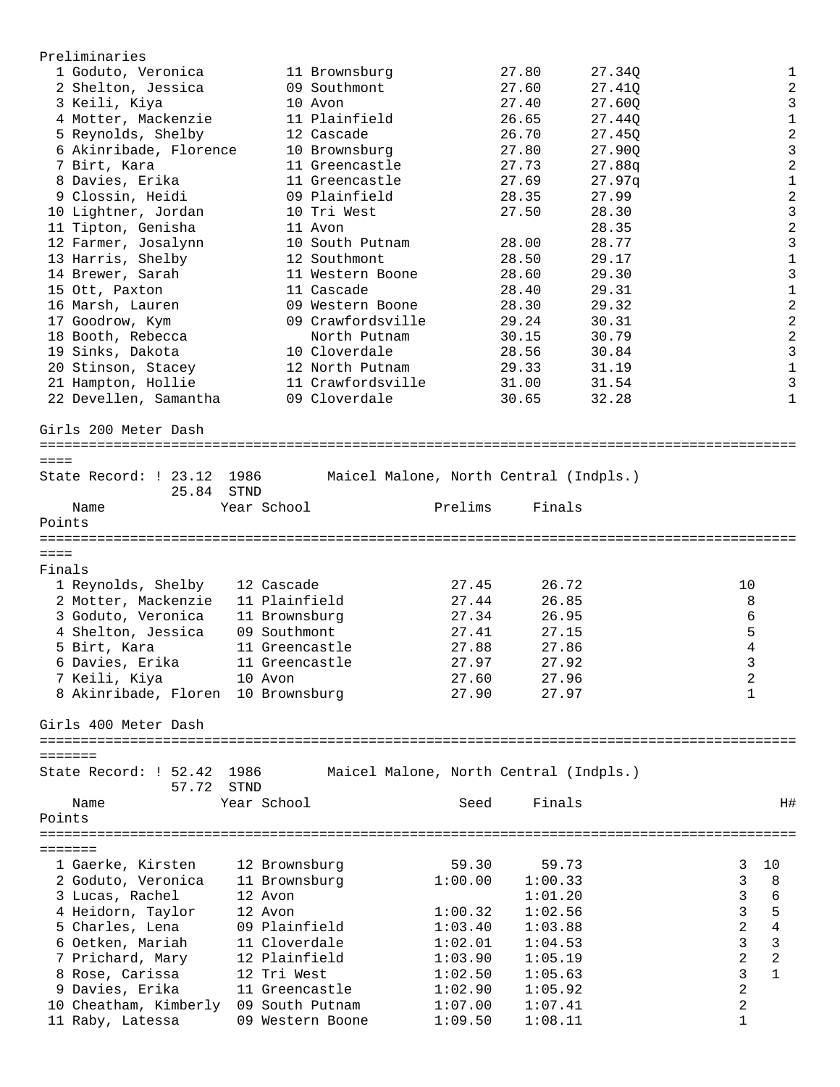| Preliminaries                         |              |                   |         |                                        |        |                |                |
|---------------------------------------|--------------|-------------------|---------|----------------------------------------|--------|----------------|----------------|
| 1 Goduto, Veronica                    |              | 11 Brownsburg     |         | 27.80                                  | 27.34Q |                | 1              |
| 2 Shelton, Jessica                    |              | 09 Southmont      |         | 27.60                                  | 27.410 |                | $\sqrt{2}$     |
| 3 Keili, Kiya                         |              | 10 Avon           |         | 27.40                                  | 27.60Q |                | $\mathfrak{Z}$ |
| 4 Motter, Mackenzie                   |              | 11 Plainfield     |         | 26.65                                  | 27.440 |                | $\mathbf 1$    |
| 5 Reynolds, Shelby                    |              | 12 Cascade        |         | 26.70                                  | 27.45Q |                | $\sqrt{2}$     |
| 6 Akinribade, Florence                |              | 10 Brownsburg     |         | 27.80                                  | 27.90Q |                | $\mathbf{3}$   |
| 7 Birt, Kara                          |              | 11 Greencastle    |         | 27.73                                  | 27.88q |                | $\sqrt{2}$     |
| 8 Davies, Erika                       |              | 11 Greencastle    |         | 27.69                                  | 27.97q |                | $\mathbf 1$    |
| 9 Clossin, Heidi                      |              | 09 Plainfield     |         | 28.35                                  | 27.99  |                | $\sqrt{2}$     |
| 10 Lightner, Jordan                   |              | 10 Tri West       |         | 27.50                                  | 28.30  |                | $\mathsf{3}$   |
| 11 Tipton, Genisha                    |              | 11 Avon           |         |                                        | 28.35  |                | $\sqrt{2}$     |
| 12 Farmer, Josalynn                   |              | 10 South Putnam   |         | 28.00                                  | 28.77  |                | $\mathbf{3}$   |
| 13 Harris, Shelby                     |              | 12 Southmont      |         | 28.50                                  | 29.17  |                | $\mathbf 1$    |
| 14 Brewer, Sarah                      |              | 11 Western Boone  |         | 28.60                                  | 29.30  |                | 3              |
|                                       |              | 11 Cascade        |         | 28.40                                  | 29.31  |                | $\mathbf 1$    |
| 15 Ott, Paxton                        |              |                   |         |                                        |        |                | $\overline{2}$ |
| 16 Marsh, Lauren                      |              | 09 Western Boone  |         | 28.30                                  | 29.32  |                |                |
| 17 Goodrow, Kym                       |              | 09 Crawfordsville |         | 29.24                                  | 30.31  |                | $\sqrt{2}$     |
| 18 Booth, Rebecca                     |              | North Putnam      |         | 30.15                                  | 30.79  |                | $\sqrt{2}$     |
| 19 Sinks, Dakota                      |              | 10 Cloverdale     |         | 28.56                                  | 30.84  |                | $\mathbf{3}$   |
| 20 Stinson, Stacey                    |              | 12 North Putnam   |         | 29.33                                  | 31.19  |                | $\mathbf 1$    |
| 21 Hampton, Hollie                    |              | 11 Crawfordsville |         | 31.00                                  | 31.54  |                | $\mathfrak{Z}$ |
| 22 Devellen, Samantha                 |              | 09 Cloverdale     |         | 30.65                                  | 32.28  |                | $\mathbf{1}$   |
| Girls 200 Meter Dash                  |              |                   |         |                                        |        |                |                |
| $=$ $=$ $=$ $=$                       |              |                   |         |                                        |        |                |                |
| State Record: ! 23.12<br>25.84        | 1986<br>STND |                   |         | Maicel Malone, North Central (Indpls.) |        |                |                |
| Name                                  |              | Year School       | Prelims | Finals                                 |        |                |                |
| Points                                |              |                   |         |                                        |        |                |                |
|                                       |              |                   |         |                                        |        |                |                |
| $=$ $=$ $=$ $=$                       |              |                   |         |                                        |        |                |                |
| Finals                                |              |                   |         |                                        |        |                |                |
| 1 Reynolds, Shelby                    |              | 12 Cascade        | 27.45   | 26.72                                  |        | 10             |                |
| 2 Motter, Mackenzie                   |              | 11 Plainfield     | 27.44   | 26.85                                  |        | 8              |                |
| 3 Goduto, Veronica                    |              | 11 Brownsburg     | 27.34   | 26.95                                  |        |                | 6              |
| 4 Shelton, Jessica                    |              | 09 Southmont      | 27.41   | 27.15                                  |        |                | 5              |
| 5 Birt, Kara                          |              | 11 Greencastle    | 27.88   | 27.86                                  |        |                | 4              |
| 6 Davies, Erika                       |              | 11 Greencastle    | 27.97   | 27.92                                  |        |                | 3              |
| 7 Keili, Kiya                         |              | 10 Avon           | 27.60   | 27.96                                  |        |                | $\overline{c}$ |
| 8 Akinribade, Floren 10 Brownsburg    |              |                   | 27.90   | 27.97                                  |        | $\mathbf{1}$   |                |
|                                       |              |                   |         |                                        |        |                |                |
| Girls 400 Meter Dash                  |              |                   |         |                                        |        |                |                |
| =======                               |              |                   |         |                                        |        |                |                |
| State Record: ! 52.42                 | 1986         |                   |         | Maicel Malone, North Central (Indpls.) |        |                |                |
| 57.72                                 |              |                   |         |                                        |        |                |                |
|                                       | STND         |                   |         |                                        |        |                |                |
| Name                                  |              | Year School       | Seed    | Finals                                 |        |                | H#             |
| Points                                |              |                   |         |                                        |        |                |                |
|                                       |              |                   |         |                                        |        |                |                |
| =======                               |              |                   |         |                                        |        |                |                |
| 1 Gaerke, Kirsten                     |              | 12 Brownsburg     | 59.30   | 59.73                                  |        | 3              | 10             |
| 2 Goduto, Veronica                    |              | 11 Brownsburg     | 1:00.00 | 1:00.33                                |        | 3              | 8              |
| 3 Lucas, Rachel                       |              | 12 Avon           |         | 1:01.20                                |        | $\mathbf{3}$   | 6              |
| 4 Heidorn, Taylor                     |              | 12 Avon           | 1:00.32 | 1:02.56                                |        | 3              | 5              |
| 5 Charles, Lena                       |              | 09 Plainfield     | 1:03.40 | 1:03.88                                |        | 2              | 4              |
| 6 Oetken, Mariah                      |              | 11 Cloverdale     | 1:02.01 | 1:04.53                                |        | 3              | $\mathbf{3}$   |
| 7 Prichard, Mary                      |              | 12 Plainfield     | 1:03.90 | 1:05.19                                |        | $\overline{c}$ | $\overline{c}$ |
| 8 Rose, Carissa                       |              | 12 Tri West       | 1:02.50 | 1:05.63                                |        | $\mathsf{3}$   | $\mathbf{1}$   |
| 9 Davies, Erika                       |              | 11 Greencastle    | 1:02.90 | 1:05.92                                |        | $\mathbf{2}$   |                |
| 10 Cheatham, Kimberly 09 South Putnam |              |                   | 1:07.00 | 1:07.41                                |        | $\sqrt{2}$     |                |
| 11 Raby, Latessa                      |              | 09 Western Boone  | 1:09.50 | 1:08.11                                |        | $\mathbf{1}$   |                |
|                                       |              |                   |         |                                        |        |                |                |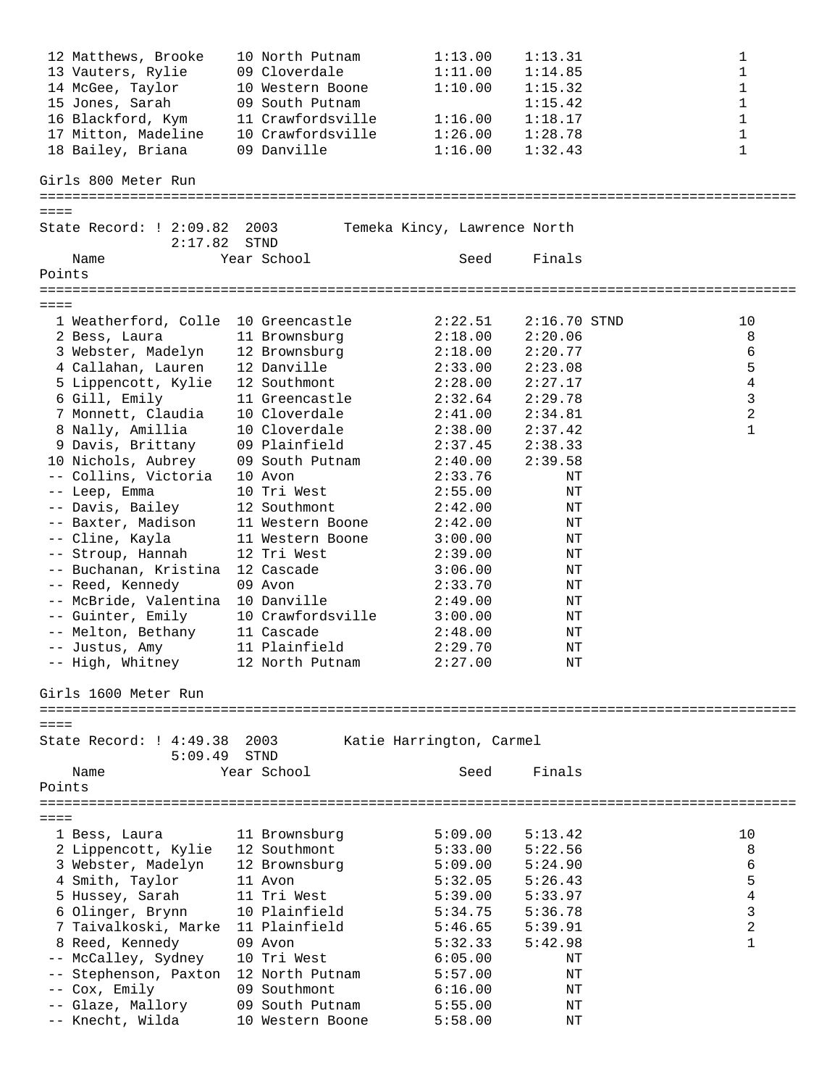|                 | 12 Matthews, Brooke                     | 10 North Putnam   | 1:13.00                      | 1:13.31        | $\mathbf 1$             |
|-----------------|-----------------------------------------|-------------------|------------------------------|----------------|-------------------------|
|                 | 13 Vauters, Rylie                       | 09 Cloverdale     | 1:11.00                      | 1:14.85        | $\mathbf 1$             |
|                 | 14 McGee, Taylor                        | 10 Western Boone  | 1:10.00                      | 1:15.32        | 1                       |
|                 | 15 Jones, Sarah                         | 09 South Putnam   |                              | 1:15.42        | 1                       |
|                 | 16 Blackford, Kym                       | 11 Crawfordsville | 1:16.00                      | 1:18.17        | 1                       |
|                 | 17 Mitton, Madeline                     | 10 Crawfordsville | 1:26.00                      | 1:28.78        | $\mathbf 1$             |
|                 | 18 Bailey, Briana                       |                   |                              |                | $\mathbf 1$             |
|                 |                                         | 09 Danville       | 1:16.00                      | 1:32.43        |                         |
|                 | Girls 800 Meter Run                     |                   |                              |                |                         |
|                 |                                         |                   |                              |                |                         |
| $=$ $=$ $=$     |                                         |                   |                              |                |                         |
|                 | State Record: ! 2:09.82<br>2:17.82      | 2003<br>STND      | Temeka Kincy, Lawrence North |                |                         |
|                 | Name                                    | Year School       | Seed                         | Finals         |                         |
| Points          |                                         |                   |                              |                |                         |
|                 |                                         |                   |                              |                |                         |
| $== == =$       |                                         |                   |                              |                |                         |
|                 | 1 Weatherford, Colle 10 Greencastle     |                   | 2:22.51                      | $2:16.70$ STND | 10                      |
|                 | 2 Bess, Laura                           | 11 Brownsburg     | 2:18.00                      | 2:20.06        | 8                       |
|                 | 3 Webster, Madelyn                      | 12 Brownsburg     | 2:18.00                      | 2:20.77        | 6                       |
|                 |                                         | 12 Danville       |                              | 2:23.08        |                         |
|                 | 4 Callahan, Lauren                      |                   | 2:33.00                      |                | 5                       |
|                 | 5 Lippencott, Kylie                     | 12 Southmont      | 2:28.00                      | 2:27.17        | 4                       |
|                 | 6 Gill, Emily                           | 11 Greencastle    | 2:32.64                      | 2:29.78        | 3                       |
|                 | 7 Monnett, Claudia                      | 10 Cloverdale     | 2:41.00                      | 2:34.81        | 2                       |
|                 | 8 Nally, Amillia                        | 10 Cloverdale     | 2:38.00                      | 2:37.42        | $\mathbf{1}$            |
|                 | 9 Davis, Brittany                       | 09 Plainfield     | 2:37.45                      | 2:38.33        |                         |
|                 | 10 Nichols, Aubrey                      | 09 South Putnam   | 2:40.00                      | 2:39.58        |                         |
|                 | -- Collins, Victoria                    | 10 Avon           | 2:33.76                      | ΝT             |                         |
|                 | -- Leep, Emma                           | 10 Tri West       | 2:55.00                      | ΝT             |                         |
|                 | -- Davis, Bailey                        | 12 Southmont      | 2:42.00                      | ΝT             |                         |
|                 | -- Baxter, Madison                      | 11 Western Boone  | 2:42.00                      | NΤ             |                         |
|                 | -- Cline, Kayla                         | 11 Western Boone  | 3:00.00                      | NΤ             |                         |
|                 | -- Stroup, Hannah                       | 12 Tri West       | 2:39.00                      | ΝT             |                         |
|                 | -- Buchanan, Kristina 12 Cascade        |                   | 3:06.00                      |                |                         |
|                 |                                         |                   |                              | ΝT             |                         |
|                 | -- Reed, Kennedy                        | 09 Avon           | 2:33.70                      | ΝT             |                         |
|                 | -- McBride, Valentina 10 Danville       |                   | 2:49.00                      | ΝT             |                         |
|                 | -- Guinter, Emily                       | 10 Crawfordsville | 3:00.00                      | ΝT             |                         |
|                 | -- Melton, Bethany                      | 11 Cascade        | 2:48.00                      | ΝT             |                         |
|                 | -- Justus, Amy                          | 11 Plainfield     | 2:29.70                      | ΝT             |                         |
|                 | -- High, Whitney                        | 12 North Putnam   | 2:27.00                      | ΝT             |                         |
|                 | Girls 1600 Meter Run                    |                   |                              |                |                         |
|                 |                                         |                   |                              |                |                         |
|                 |                                         |                   |                              |                |                         |
| $== == =$       |                                         |                   |                              |                |                         |
|                 | State Record: ! 4:49.38 2003<br>5:09.49 | STND              | Katie Harrington, Carmel     |                |                         |
|                 |                                         |                   |                              |                |                         |
|                 | Name                                    | Year School       | Seed                         | Finals         |                         |
| Points          |                                         |                   |                              |                |                         |
|                 |                                         |                   |                              |                |                         |
| $=$ $=$ $=$ $=$ |                                         |                   |                              |                |                         |
|                 | 1 Bess, Laura                           | 11 Brownsburg     | 5:09.00                      | 5:13.42        | 10                      |
|                 | 2 Lippencott, Kylie                     | 12 Southmont      | 5:33.00                      | 5:22.56        | 8                       |
|                 | 3 Webster, Madelyn                      | 12 Brownsburg     | 5:09.00                      | 5:24.90        | 6                       |
|                 | 4 Smith, Taylor                         | 11 Avon           | 5:32.05                      | 5:26.43        | 5                       |
|                 | 5 Hussey, Sarah                         | 11 Tri West       | 5:39.00                      | 5:33.97        | $\overline{\mathbf{4}}$ |
|                 | 6 Olinger, Brynn                        | 10 Plainfield     | 5:34.75                      | 5:36.78        | $\mathsf 3$             |
|                 | 7 Taivalkoski, Marke 11 Plainfield      |                   | 5:46.65                      | 5:39.91        | 2                       |
|                 | 8 Reed, Kennedy                         | 09 Avon           | 5:32.33                      | 5:42.98        | 1                       |
|                 | -- McCalley, Sydney                     | 10 Tri West       | 6:05.00                      | ΝT             |                         |
|                 | Stephenson, Paxton 12 North Putnam      |                   | 5:57.00                      | ΝT             |                         |
|                 |                                         | 09 Southmont      |                              |                |                         |
|                 | Cox, Emily                              |                   | 6:16.00                      | ΝT             |                         |
|                 | -- Glaze, Mallory                       | 09 South Putnam   | 5:55.00                      | ΝT             |                         |
|                 | -- Knecht, Wilda                        | 10 Western Boone  | 5:58.00                      | ΝT             |                         |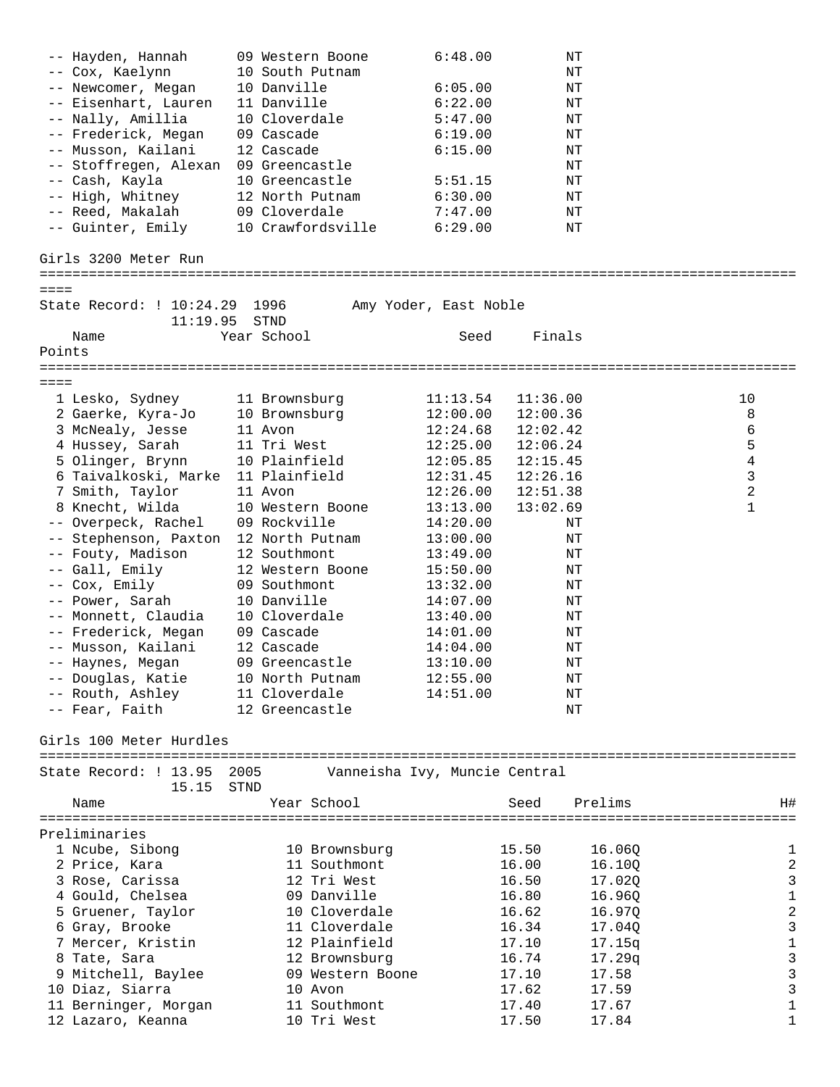| -- Hayden, Hannah                     | 09 Western Boone              | 6:48.00               | ΝT       |         |                  |
|---------------------------------------|-------------------------------|-----------------------|----------|---------|------------------|
| -- Cox, Kaelynn                       | 10 South Putnam               |                       | ΝT       |         |                  |
| -- Newcomer, Megan                    | 10 Danville                   | 6:05.00               | ΝT       |         |                  |
| -- Eisenhart, Lauren                  | 11 Danville                   | 6:22.00               | ΝT       |         |                  |
| -- Nally, Amillia                     | 10 Cloverdale                 | 5:47.00               | ΝT       |         |                  |
| -- Frederick, Megan                   | 09 Cascade                    | 6:19.00               | ΝT       |         |                  |
| -- Musson, Kailani                    | 12 Cascade                    | 6:15.00               | ΝT       |         |                  |
|                                       |                               |                       |          |         |                  |
| -- Stoffregen, Alexan                 | 09 Greencastle                |                       | ΝT       |         |                  |
| -- Cash, Kayla                        | 10 Greencastle                | 5:51.15               | ΝT       |         |                  |
| -- High, Whitney                      | 12 North Putnam               | 6:30.00               | ΝT       |         |                  |
| -- Reed, Makalah                      | 09 Cloverdale                 | 7:47.00               | ΝT       |         |                  |
| -- Guinter, Emily                     | 10 Crawfordsville             | 6:29.00               | ΝT       |         |                  |
| Girls 3200 Meter Run                  |                               |                       |          |         |                  |
|                                       |                               |                       |          |         |                  |
| ====<br>State Record: ! 10:24.29 1996 |                               | Amy Yoder, East Noble |          |         |                  |
| 11:19.95                              | STND                          |                       |          |         |                  |
| Name                                  | Year School                   | Seed                  | Finals   |         |                  |
| Points                                |                               |                       |          |         |                  |
|                                       |                               |                       |          |         |                  |
| $== == =$                             |                               |                       |          |         |                  |
| 1 Lesko, Sydney                       | 11 Brownsburg                 | 11:13.54              | 11:36.00 |         | 10               |
| 2 Gaerke, Kyra-Jo                     | 10 Brownsburg                 | 12:00.00              | 12:00.36 |         | 8                |
| 3 McNealy, Jesse                      | 11 Avon                       | 12:24.68              | 12:02.42 |         | 6                |
| 4 Hussey, Sarah                       | 11 Tri West                   | 12:25.00              | 12:06.24 |         | 5                |
|                                       | 10 Plainfield                 | 12:05.85              | 12:15.45 |         | $\overline{4}$   |
| 5 Olinger, Brynn                      |                               |                       |          |         |                  |
| 6 Taivalkoski, Marke                  | 11 Plainfield                 | 12:31.45              | 12:26.16 |         | 3                |
| 7 Smith, Taylor                       | 11 Avon                       | 12:26.00              | 12:51.38 |         | 2                |
| 8 Knecht, Wilda                       | 10 Western Boone              | 13:13.00              | 13:02.69 |         | $\mathbf 1$      |
| -- Overpeck, Rachel                   | 09 Rockville                  | 14:20.00              | ΝT       |         |                  |
| -- Stephenson, Paxton                 | 12 North Putnam               | 13:00.00              | ΝT       |         |                  |
| -- Fouty, Madison                     | 12 Southmont                  | 13:49.00              | ΝT       |         |                  |
| -- Gall, Emily                        | 12 Western Boone              | 15:50.00              | ΝT       |         |                  |
|                                       |                               |                       |          |         |                  |
| -- Cox, Emily                         | 09 Southmont                  | 13:32.00              | ΝT       |         |                  |
| -- Power, Sarah                       | 10 Danville                   | 14:07.00              | ΝT       |         |                  |
| -- Monnett, Claudia                   | 10 Cloverdale                 | 13:40.00              | ΝT       |         |                  |
| -- Frederick, Megan                   | 09 Cascade                    | 14:01.00              | ΝT       |         |                  |
| -- Musson, Kailani                    | 12 Cascade                    | 14:04.00              | ΝT       |         |                  |
| -- Haynes, Megan                      | 09 Greencastle                | 13:10.00              | ΝT       |         |                  |
| -- Douglas, Katie                     | 10 North Putnam               | 12:55.00              | ΝT       |         |                  |
|                                       |                               |                       |          |         |                  |
| -- Routh, Ashley 11 Cloverdale        |                               | 14:51.00              | ΝT       |         |                  |
| -- Fear, Faith                        | 12 Greencastle                |                       | ΝT       |         |                  |
| Girls 100 Meter Hurdles               |                               |                       |          |         |                  |
|                                       |                               |                       |          |         |                  |
| State Record: ! 13.95 2005            | Vanneisha Ivy, Muncie Central |                       |          |         |                  |
| 15.15 STND                            |                               |                       |          |         |                  |
| Name                                  | Year School                   |                       | Seed     | Prelims | H#               |
|                                       |                               |                       |          |         |                  |
| Preliminaries                         |                               |                       |          |         |                  |
| 1 Ncube, Sibong                       | 10 Brownsburg                 |                       | 15.50    | 16.06Q  | 1                |
| 2 Price, Kara                         | 11 Southmont                  |                       | 16.00    | 16.10Q  | $\overline{a}$   |
| 3 Rose, Carissa                       | 12 Tri West                   |                       | 16.50    | 17.02Q  | $\mathbf{3}$     |
| 4 Gould, Chelsea                      | 09 Danville                   |                       | 16.80    | 16.96Q  | $\mathbf 1$      |
| 5 Gruener, Taylor                     | 10 Cloverdale                 |                       | 16.62    | 16.97Q  | $\boldsymbol{2}$ |
|                                       |                               |                       |          |         |                  |
| 6 Gray, Brooke                        | 11 Cloverdale                 |                       | 16.34    | 17.04Q  | $\mathfrak{Z}$   |
| 7 Mercer, Kristin                     | 12 Plainfield                 |                       | 17.10    | 17.15q  | $\mathbf 1$      |
| 8 Tate, Sara                          | 12 Brownsburg                 |                       | 16.74    | 17.29q  | 3                |
| 9 Mitchell, Baylee                    | 09 Western Boone              |                       | 17.10    | 17.58   | $\mathsf 3$      |
| 10 Diaz, Siarra                       | 10 Avon                       |                       | 17.62    | 17.59   | $\mathfrak{Z}$   |
| 11 Berninger, Morgan                  | 11 Southmont                  |                       | 17.40    | 17.67   | $\mathbf 1$      |
| 12 Lazaro, Keanna                     | 10 Tri West                   |                       | 17.50    | 17.84   | 1                |
|                                       |                               |                       |          |         |                  |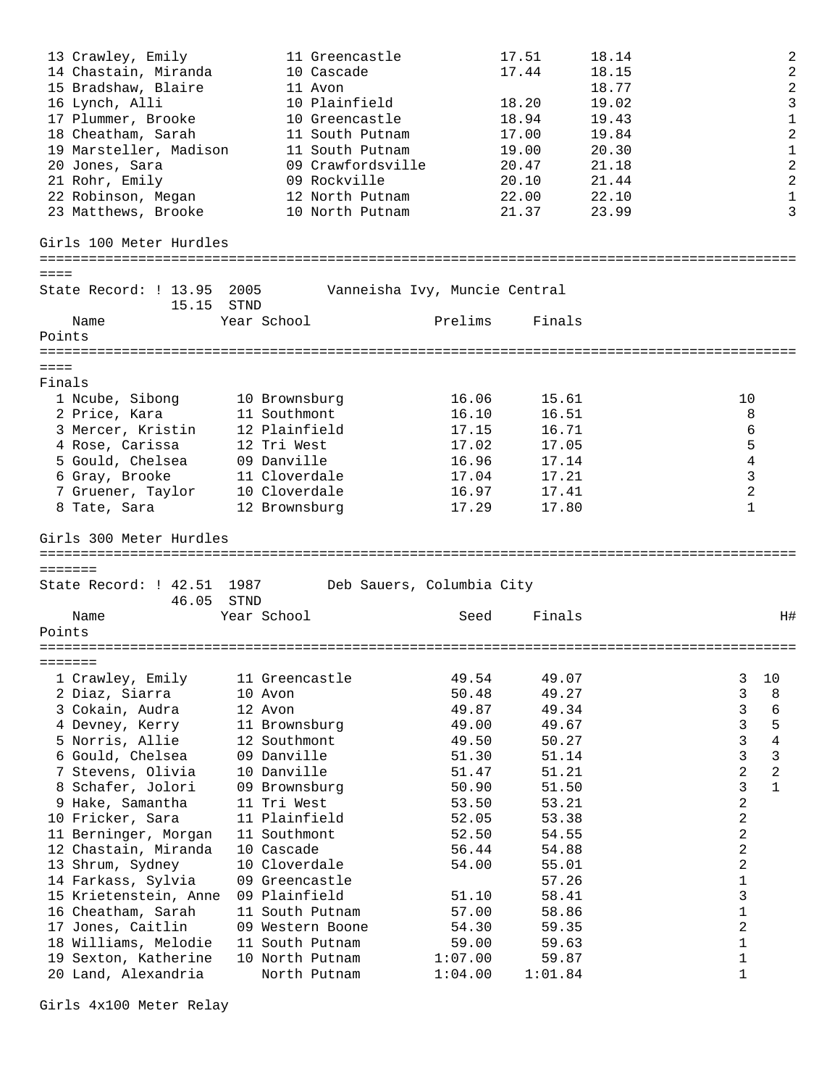13 Crawley, Emily 11 Greencastle 17.51 18.14 2 14 Chastain, Miranda 10 Cascade 17.44 18.15 2 15 Bradshaw, Blaire 11 Avon 18.77 2 16 Lynch, Alli 10 Plainfield 18.20 19.02 3 17 Plummer, Brooke 10 Greencastle 18.94 19.43 1 18 Cheatham, Sarah 11 South Putnam 17.00 19.84 2 19 Marsteller, Madison 11 South Putnam 19.00 20.30 1 20 Jones, Sara 09 Crawfordsville 20.47 21.18 2 21 Rohr, Emily 09 Rockville 20.10 21.44 2 22 Robinson, Megan 12 North Putnam 22.00 22.10 1 23 Matthews, Brooke 10 North Putnam 21.37 23.99 3 Girls 100 Meter Hurdles ============================================================================================ ==== State Record: ! 13.95 2005 Vanneisha Ivy, Muncie Central 15.15 STND Name Year School **Prelims** Finals Points ============================================================================================  $=$ Finals 1 Ncube, Sibong 10 Brownsburg 16.06 15.61 10 2 Price, Kara 11 Southmont 16.10 16.51 8 3 Mercer, Kristin 12 Plainfield 17.15 16.71 6 4 Rose, Carissa 12 Tri West 17.02 17.05 5 5 Gould, Chelsea 09 Danville 16.96 17.14 4 6 Gray, Brooke 11 Cloverdale 17.04 17.21 3 7 Gruener, Taylor 10 Cloverdale 16.97 17.41 2 8 Tate, Sara 12 Brownsburg 17.29 17.80 1 Girls 300 Meter Hurdles ============================================================================================ ======= State Record: ! 42.51 1987 Deb Sauers, Columbia City 46.05 STND Name Year School Seed Finals Points ============================================================================================ ======= 1 Crawley, Emily 11 Greencastle 49.54 49.07 3 10 2 Diaz, Siarra 10 Avon 50.48 49.27 3 8 3 Cokain, Audra 12 Avon 49.87 49.34 3 6 4 Devney, Kerry 11 Brownsburg 49.00 49.67 3 5 5 Norris, Allie 12 Southmont 49.50 50.27 3 4 6 Gould, Chelsea 09 Danville 51.30 51.14 3 3 7 Stevens, Olivia 10 Danville 51.47 51.21 2 2 8 Schafer, Jolori 09 Brownsburg 50.90 51.50 3 1 9 Hake, Samantha 11 Tri West 53.50 53.21 2 10 Fricker, Sara 11 Plainfield 52.05 53.38 31 2 11 Berninger, Morgan 11 Southmont 52.50 54.55 52.50 54.55 12 Chastain, Miranda 10 Cascade 56.44 54.88 54.88 2 13 Shrum, Sydney 10 Cloverdale 54.00 55.01 2 14 Farkass, Sylvia 09 Greencastle 57.26 1 15 Krietenstein, Anne 09 Plainfield 51.10 58.41 3 16 Cheatham, Sarah 11 South Putnam 157.00 58.86 1 17 Jones, Caitlin 109 Western Boone 54.30 59.35 59.35 18 Williams, Melodie 11 South Putnam 59.00 59.63 1 19 Sexton, Katherine 10 North Putnam 1:07.00 59.87 1 20 Land, Alexandria North Putnam 1:04.00 1:01.84 1

Girls 4x100 Meter Relay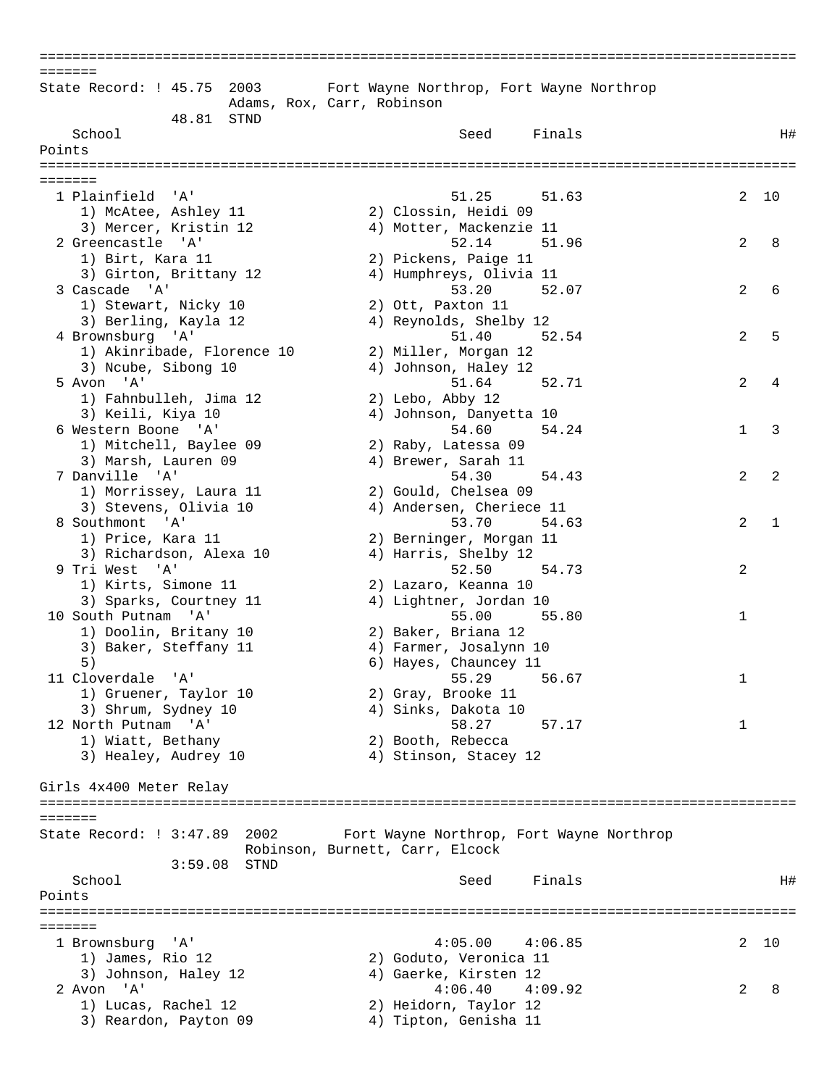| =======                                           |                                                                             |         |
|---------------------------------------------------|-----------------------------------------------------------------------------|---------|
| State Record: ! 45.75<br>2003                     | Fort Wayne Northrop, Fort Wayne Northrop<br>Adams, Rox, Carr, Robinson      |         |
| 48.81<br>STND                                     |                                                                             |         |
| School                                            | Finals<br>Seed                                                              | H#      |
| Points                                            |                                                                             |         |
|                                                   |                                                                             |         |
| =======                                           |                                                                             |         |
| 1 Plainfield<br>'' A '                            | 51.25<br>51.63                                                              | 2<br>10 |
| 1) McAtee, Ashley 11                              | 2) Clossin, Heidi 09                                                        |         |
| 3) Mercer, Kristin 12                             | 4) Motter, Mackenzie 11                                                     |         |
| 2 Greencastle 'A'                                 | 52.14<br>51.96                                                              | 2<br>8  |
| 1) Birt, Kara 11                                  | 2) Pickens, Paige 11                                                        |         |
| 3) Girton, Brittany 12                            | 4) Humphreys, Olivia 11                                                     |         |
| 3 Cascade 'A'                                     | 53.20<br>52.07                                                              | 2<br>6  |
| 1) Stewart, Nicky 10                              | 2) Ott, Paxton 11                                                           |         |
| 3) Berling, Kayla 12                              | 4) Reynolds, Shelby 12                                                      |         |
| 4 Brownsburg 'A'                                  | 52.54<br>51.40                                                              | 2<br>5  |
|                                                   | 2) Miller, Morgan 12                                                        |         |
| 1) Akinribade, Florence 10<br>3) Ncube, Sibong 10 | 4) Johnson, Haley 12                                                        |         |
|                                                   |                                                                             |         |
| 5 Avon 'A'                                        | 51.64<br>52.71                                                              | 2<br>4  |
| 1) Fahnbulleh, Jima 12                            | 2) Lebo, Abby 12                                                            |         |
| 3) Keili, Kiya 10                                 | 4) Johnson, Danyetta 10                                                     |         |
| 6 Western Boone 'A'                               | 54.60<br>54.24                                                              | 3<br>1  |
| 1) Mitchell, Baylee 09                            | 2) Raby, Latessa 09                                                         |         |
| 3) Marsh, Lauren 09                               | 4) Brewer, Sarah 11                                                         |         |
| 7 Danville 'A'                                    | 54.30<br>54.43                                                              | 2<br>2  |
| 1) Morrissey, Laura 11                            | 2) Gould, Chelsea 09                                                        |         |
| 3) Stevens, Olivia 10                             | 4) Andersen, Cheriece 11                                                    |         |
| 8 Southmont<br>'A'                                | 53.70<br>54.63                                                              | 2<br>1  |
| 1) Price, Kara 11                                 | 2) Berninger, Morgan 11                                                     |         |
| 3) Richardson, Alexa 10                           | 4) Harris, Shelby 12                                                        |         |
| 9 Tri West 'A'                                    | 52.50<br>54.73                                                              | 2       |
| 1) Kirts, Simone 11                               | 2) Lazaro, Keanna 10                                                        |         |
| 3) Sparks, Courtney 11                            | 4) Lightner, Jordan 10                                                      |         |
| 10 South Putnam 'A'                               | 55.00<br>55.80                                                              | 1       |
| 1) Doolin, Britany 10                             | 2) Baker, Briana 12                                                         |         |
| 3) Baker, Steffany 11                             | 4) Farmer, Josalynn 10                                                      |         |
| 5)                                                | 6) Hayes, Chauncey 11                                                       |         |
| 11 Cloverdale 'A'                                 | 55.29<br>56.67                                                              | 1       |
| 1) Gruener, Taylor 10                             | 2) Gray, Brooke 11                                                          |         |
| 3) Shrum, Sydney 10                               | 4) Sinks, Dakota 10                                                         |         |
| 12 North Putnam 'A'                               | 58.27<br>57.17                                                              | 1       |
| 1) Wiatt, Bethany                                 | 2) Booth, Rebecca                                                           |         |
| 3) Healey, Audrey 10                              | 4) Stinson, Stacey 12                                                       |         |
|                                                   |                                                                             |         |
| Girls 4x400 Meter Relay                           |                                                                             |         |
|                                                   |                                                                             |         |
| =======                                           |                                                                             |         |
| State Record: ! 3:47.89 2002                      | Fort Wayne Northrop, Fort Wayne Northrop<br>Robinson, Burnett, Carr, Elcock |         |
| $3:59.08$ STND                                    |                                                                             |         |
| School                                            | Finals<br>Seed                                                              | H#      |
| Points                                            |                                                                             |         |
|                                                   |                                                                             |         |
| =======                                           |                                                                             |         |
| 1 Brownsburg 'A'                                  | 4:05.00<br>4:06.85                                                          | 2<br>10 |
| 1) James, Rio 12                                  | 2) Goduto, Veronica 11                                                      |         |
| 3) Johnson, Haley 12                              | 4) Gaerke, Kirsten 12                                                       |         |
| 2 Avon 'A'                                        | 4:06.40<br>4:09.92                                                          | 2<br>8  |
| 1) Lucas, Rachel 12                               | 2) Heidorn, Taylor 12                                                       |         |
| 3) Reardon, Payton 09                             | 4) Tipton, Genisha 11                                                       |         |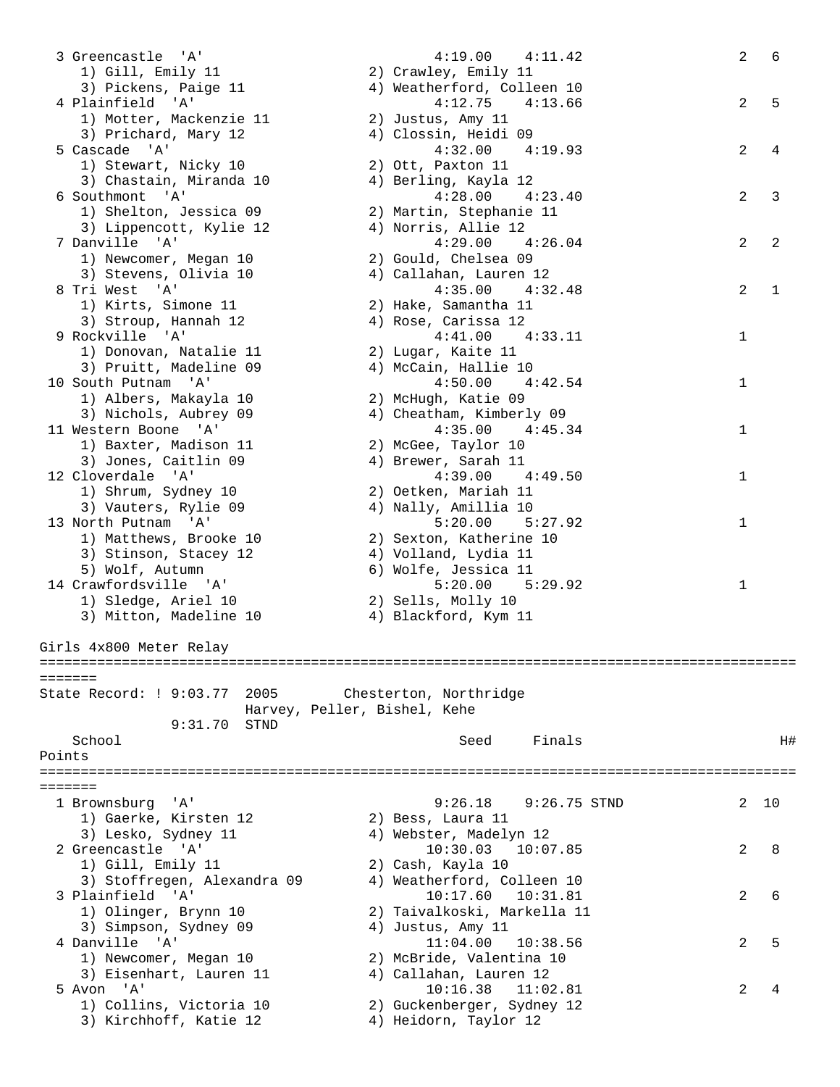|        | 3 Greencastle 'A'               | 4:19.00<br>4:11.42          | $\mathbf{2}$ | 6  |
|--------|---------------------------------|-----------------------------|--------------|----|
|        | 1) Gill, Emily 11               | 2) Crawley, Emily 11        |              |    |
|        | 3) Pickens, Paige 11            | 4) Weatherford, Colleen 10  |              |    |
|        | 4 Plainfield 'A'                | 4:12.75<br>4:13.66          | 2            | 5  |
|        | 1) Motter, Mackenzie 11         | 2) Justus, Amy 11           |              |    |
|        | 3) Prichard, Mary 12            | 4) Clossin, Heidi 09        |              |    |
|        | 5 Cascade 'A'                   | 4:32.00<br>4:19.93          | 2            | 4  |
|        | 1) Stewart, Nicky 10            | 2) Ott, Paxton 11           |              |    |
|        | 3) Chastain, Miranda 10         | 4) Berling, Kayla 12        |              |    |
|        | 6 Southmont 'A'                 | 4:28.00<br>4:23.40          | 2            | 3  |
|        | 1) Shelton, Jessica 09          | 2) Martin, Stephanie 11     |              |    |
|        | 3) Lippencott, Kylie 12         | 4) Norris, Allie 12         |              |    |
|        | 7 Danville 'A'                  | 4:29.00<br>4:26.04          | 2            | 2  |
|        | 1) Newcomer, Megan 10           | 2) Gould, Chelsea 09        |              |    |
|        | 3) Stevens, Olivia 10           | 4) Callahan, Lauren 12      |              |    |
|        | 8 Tri West 'A'                  | 4:35.00<br>4:32.48          | 2            | 1  |
|        | 1) Kirts, Simone 11             | 2) Hake, Samantha 11        |              |    |
|        | 3) Stroup, Hannah 12            | 4) Rose, Carissa 12         |              |    |
|        | 9 Rockville 'A'                 | 4:41.00<br>4:33.11          | 1            |    |
|        | 1) Donovan, Natalie 11          | 2) Lugar, Kaite 11          |              |    |
|        | 3) Pruitt, Madeline 09          | 4) McCain, Hallie 10        |              |    |
|        | 10 South Putnam 'A'             | 4:42.54<br>4:50.00          | 1            |    |
|        | 1) Albers, Makayla 10           | 2) McHugh, Katie 09         |              |    |
|        | 3) Nichols, Aubrey 09           | 4) Cheatham, Kimberly 09    |              |    |
|        |                                 | 4:45.34                     |              |    |
|        | 11 Western Boone 'A'            | 4:35.00                     | 1            |    |
|        | 1) Baxter, Madison 11           | 2) McGee, Taylor 10         |              |    |
|        | 3) Jones, Caitlin 09            | 4) Brewer, Sarah 11         |              |    |
|        | 12 Cloverdale 'A'               | $4:39.00$ $4:49.50$         | 1            |    |
|        | 1) Shrum, Sydney 10             | 2) Oetken, Mariah 11        |              |    |
|        | 3) Vauters, Rylie 09            | 4) Nally, Amillia 10        |              |    |
|        | 13 North Putnam 'A'             | 5:20.00<br>5:27.92          | 1            |    |
|        | 1) Matthews, Brooke 10          | 2) Sexton, Katherine 10     |              |    |
|        | 3) Stinson, Stacey 12           | 4) Volland, Lydia 11        |              |    |
|        | 5) Wolf, Autumn                 | 6) Wolfe, Jessica 11        |              |    |
|        | 14 Crawfordsville 'A'           | 5:20.00<br>5:29.92          | 1            |    |
|        | 1) Sledge, Ariel 10             | 2) Sells, Molly 10          |              |    |
|        | 3) Mitton, Madeline 10          | 4) Blackford, Kym 11        |              |    |
|        |                                 |                             |              |    |
|        | Girls 4x800 Meter Relay         |                             |              |    |
|        |                                 |                             |              |    |
|        | =======                         |                             |              |    |
|        | State Record: ! 9:03.77<br>2005 | Chesterton, Northridge      |              |    |
|        | Harvey, Peller, Bishel, Kehe    |                             |              |    |
|        | 9:31.70<br>STND                 |                             |              |    |
|        | School                          | Finals<br>Seed              |              | Η# |
| Points |                                 |                             |              |    |
|        |                                 |                             |              |    |
|        | =======                         |                             |              |    |
|        | 1 Brownsburg<br>' A '           | 9:26.18<br>$9:26.75$ STND   | 2            | 10 |
|        | 1) Gaerke, Kirsten 12           | 2) Bess, Laura 11           |              |    |
|        | 3) Lesko, Sydney 11             | 4) Webster, Madelyn 12      |              |    |
|        | 2 Greencastle 'A'               | 10:30.03<br>10:07.85        |              |    |
|        |                                 |                             | 2            | 8  |
|        | 1) Gill, Emily 11               | 2) Cash, Kayla 10           |              |    |
|        | 3) Stoffregen, Alexandra 09     | 4) Weatherford, Colleen 10  |              |    |
|        | 3 Plainfield 'A'                | 10:17.60<br>10:31.81        | 2            | 6  |
|        | 1) Olinger, Brynn 10            | 2) Taivalkoski, Markella 11 |              |    |
|        | 3) Simpson, Sydney 09           | 4) Justus, Amy 11           |              |    |
|        | 4 Danville 'A'                  | 11:04.00<br>10:38.56        | 2            | 5  |
|        | 1) Newcomer, Megan 10           | 2) McBride, Valentina 10    |              |    |
|        | 3) Eisenhart, Lauren 11         | 4) Callahan, Lauren 12      |              |    |
|        | 5 Avon 'A'                      | 10:16.38<br>11:02.81        | 2            | 4  |
|        | 1) Collins, Victoria 10         | 2) Guckenberger, Sydney 12  |              |    |
|        | 3) Kirchhoff, Katie 12          | 4) Heidorn, Taylor 12       |              |    |
|        |                                 |                             |              |    |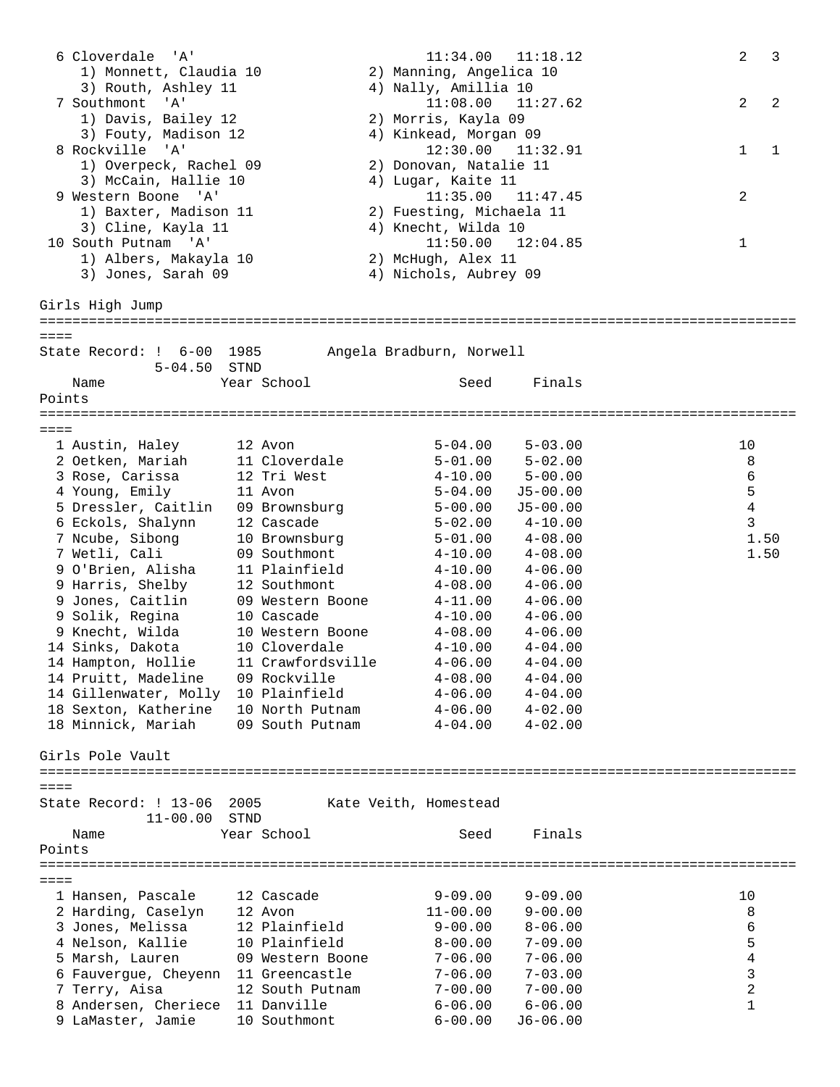6 Cloverdale 'A' 11:34.00 11:18.12 2 3 1) Monnett, Claudia 10 2) Manning, Angelica 10 3) Routh, Ashley 11 4) Nally, Amillia 10 7 Southmont 'A' 11:08.00 11:27.62 2 2 1) Davis, Bailey 12 2) Morris, Kayla 09 3) Fouty, Madison 12 4) Kinkead, Morgan 09 8 Rockville 'A' 12:30.00 11:32.91 1 1 1) Overpeck, Rachel 09 2) Donovan, Natalie 11 3) McCain, Hallie 10 (4) Lugar, Kaite 11 9 Western Boone 'A' 11:35.00 11:47.45 2 1) Baxter, Madison 11 2) Fuesting, Michaela 11 3) Cline, Kayla 11 (4) Knecht, Wilda 10 10 South Putnam 'A' 11:50.00 12:04.85 1 1) Albers, Makayla 10 2) McHugh, Alex 11 3) Jones, Sarah 09 4) Nichols, Aubrey 09 Girls High Jump ============================================================================================  $=$ State Record: ! 6-00 1985 Angela Bradburn, Norwell 5-04.50 STND Name Year School Seed Finals Points ============================================================================================  $=$ 1 Austin, Haley 12 Avon 5-04.00 5-03.00 10<br>
2 Oetken, Mariah 11 Cloverdale 5-01.00 5-02.00 8<br>
3 Rose, Carissa 12 Tri West 4-10.00 5-00.00 6<br>
4 Young, Emily 11 Avon 5-04.00 J5-00.00 5 2 Oetken, Mariah 11 Cloverdale 5-01.00 5-02.00 8 3 Rose, Carissa 12 Tri West 4-10.00 5-00.00 6 4 Young, Emily 11 Avon 5-04.00 J5-00.00 5 5 Dressler, Caitlin 09 Brownsburg 5-00.00 J5-00.00 4 6 Eckols, Shalynn 12 Cascade 5-02.00 4-10.00 3 7 Ncube, Sibong 10 Brownsburg 5-01.00 4-08.00 1.50 7 Wetli, Cali 09 Southmont 4-10.00 4-08.00 1.50 9 O'Brien, Alisha 11 Plainfield 4-10.00 4-06.00 9 Harris, Shelby 12 Southmont 4-08.00 4-06.00 9 Jones, Caitlin 09 Western Boone 4-11.00 4-06.00 9 Solik, Regina 10 Cascade 4-10.00 4-06.00 9 Knecht, Wilda 10 Western Boone 4-08.00 4-06.00 14 Sinks, Dakota 10 Cloverdale 4-10.00 4-04.00 14 Hampton, Hollie 11 Crawfordsville 4-06.00 4-04.00 14 Pruitt, Madeline 09 Rockville 4-08.00 4-04.00 14 Gillenwater, Molly 10 Plainfield 4-06.00 4-04.00 18 Sexton, Katherine 10 North Putnam 4-06.00 4-02.00 18 Minnick, Mariah 09 South Putnam 4-04.00 4-02.00 Girls Pole Vault ============================================================================================  $=$ State Record: ! 13-06 2005 Kate Veith, Homestead 11-00.00 STND Name Year School Seed Finals Points ============================================================================================ ==== 1 Hansen, Pascale 12 Cascade 9-09.00 9-09.00 10 2 Harding, Caselyn 12 Avon 11-00.00 9-00.00 8 3 Jones, Melissa 12 Plainfield 9-00.00 8-06.00 6 4 Nelson, Kallie 10 Plainfield 8-00.00 7-09.00 5 5 Marsh, Lauren 09 Western Boone 7-06.00 7-06.00 4 6 Fauvergue, Cheyenn 11 Greencastle 7-06.00 7-03.00 3 7 Terry, Aisa 12 South Putnam 7-00.00 7-00.00 2 8 Andersen, Cheriece 11 Danville 6-06.00 6-06.00 1 9 LaMaster, Jamie 10 Southmont 6-00.00 J6-06.00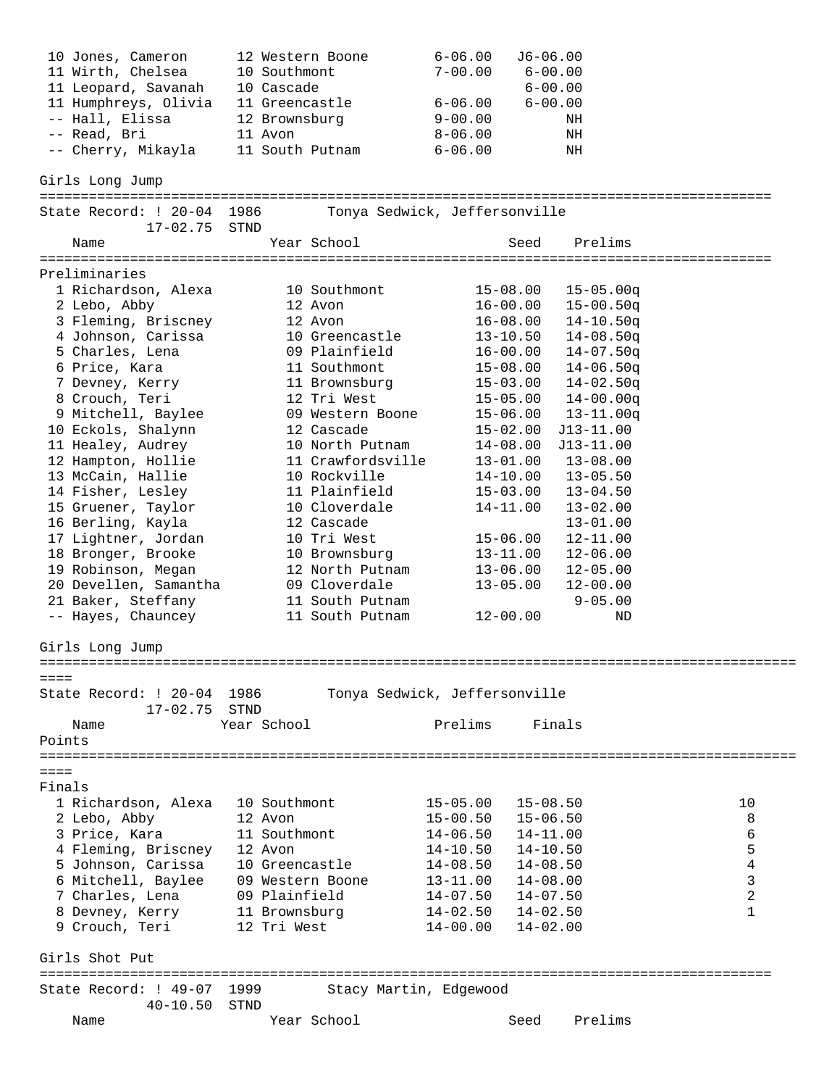| 10 Jones, Cameron                                                | 12 Western Boone  | $J6 - 06.00$<br>$6 - 06.00$   |    |
|------------------------------------------------------------------|-------------------|-------------------------------|----|
| 11 Wirth, Chelsea                                                | 10 Southmont      | $7 - 00.00$<br>$6 - 00.00$    |    |
| 11 Leopard, Savanah                                              | 10 Cascade        | $6 - 00.00$                   |    |
| 11 Humphreys, Olivia                                             | 11 Greencastle    | $6 - 00.00$<br>$6 - 06.00$    |    |
| -- Hall, Elissa                                                  | 12 Brownsburg     | $9 - 00.00$<br>NH             |    |
| -- Read, Bri                                                     | 11 Avon           | $8 - 06.00$<br>ΝH             |    |
| -- Cherry, Mikayla                                               | 11 South Putnam   | $6 - 06.00$<br>ΝH             |    |
|                                                                  |                   |                               |    |
| Girls Long Jump                                                  |                   |                               |    |
|                                                                  |                   |                               |    |
| State Record: ! 20-04 1986<br>17-02.75                           | STND              | Tonya Sedwick, Jeffersonville |    |
| Name                                                             | Year School       | Prelims<br>Seed               |    |
|                                                                  |                   |                               |    |
| Preliminaries                                                    |                   |                               |    |
| 1 Richardson, Alexa                                              | 10 Southmont      | $15 - 08.00$<br>$15 - 05.00q$ |    |
| 2 Lebo, Abby                                                     | 12 Avon           | $16 - 00.00$<br>$15 - 00.50q$ |    |
| 3 Fleming, Briscney                                              | 12 Avon           | $14 - 10.50q$<br>$16 - 08.00$ |    |
| 4 Johnson, Carissa                                               | 10 Greencastle    | $14 - 08.50q$<br>$13 - 10.50$ |    |
| 5 Charles, Lena                                                  | 09 Plainfield     | $16 - 00.00$<br>$14 - 07.50q$ |    |
| 6 Price, Kara                                                    | 11 Southmont      | $15 - 08.00$<br>$14 - 06.50q$ |    |
| 7 Devney, Kerry                                                  | 11 Brownsburg     | $14 - 02.50q$<br>$15 - 03.00$ |    |
| 8 Crouch, Teri                                                   | 12 Tri West       | $14 - 00.00q$<br>$15 - 05.00$ |    |
| 9 Mitchell, Baylee                                               | 09 Western Boone  | $15 - 06.00$<br>$13 - 11.00q$ |    |
| 10 Eckols, Shalynn                                               | 12 Cascade        | $15 - 02.00$<br>$J13 - 11.00$ |    |
| 11 Healey, Audrey                                                | 10 North Putnam   | $14 - 08.00$<br>$J13 - 11.00$ |    |
| 12 Hampton, Hollie                                               | 11 Crawfordsville | $13 - 08.00$<br>$13 - 01.00$  |    |
| 13 McCain, Hallie                                                | 10 Rockville      | $14 - 10.00$<br>$13 - 05.50$  |    |
|                                                                  | 11 Plainfield     |                               |    |
| 14 Fisher, Lesley                                                |                   | $15 - 03.00$<br>$13 - 04.50$  |    |
| 15 Gruener, Taylor                                               | 10 Cloverdale     | $14 - 11.00$<br>$13 - 02.00$  |    |
| 16 Berling, Kayla                                                | 12 Cascade        | $13 - 01.00$                  |    |
| 17 Lightner, Jordan                                              | 10 Tri West       | $15 - 06.00$<br>$12 - 11.00$  |    |
| 18 Bronger, Brooke                                               | 10 Brownsburg     | $12 - 06.00$<br>$13 - 11.00$  |    |
| 19 Robinson, Megan                                               | 12 North Putnam   | $13 - 06.00$<br>$12 - 05.00$  |    |
| 20 Devellen, Samantha                                            | 09 Cloverdale     | $13 - 05.00$<br>$12 - 00.00$  |    |
| 21 Baker, Steffany                                               | 11 South Putnam   | $9 - 05.00$                   |    |
| -- Hayes, Chauncey                                               | 11 South Putnam   | $12 - 00.00$<br>ND            |    |
| Girls Long Jump                                                  |                   |                               |    |
|                                                                  |                   | ===================           |    |
| $=$ $=$ $=$ $=$                                                  |                   |                               |    |
| State Record: ! 20-04 1986                                       |                   | Tonya Sedwick, Jeffersonville |    |
| $17 - 02.75$                                                     | STND              |                               |    |
| Name                                                             | Year School       | Prelims<br>Finals             |    |
| Points                                                           |                   |                               |    |
|                                                                  |                   |                               |    |
| $== == =$                                                        |                   |                               |    |
| Finals                                                           |                   |                               |    |
| 1 Richardson, Alexa                                              | 10 Southmont      | $15 - 05.00$<br>15-08.50      | 10 |
| 2 Lebo, Abby                                                     | 12 Avon           | $15-00.50$ $15-06.50$         | 8  |
| 3 Price, Kara                                                    | 11 Southmont      | $14-06.50$ $14-11.00$         | 6  |
|                                                                  |                   | $14-10.50$ $14-10.50$         | 5  |
| 4 Fleming, Briscney 12 Avon<br>5 Johnson, Carissa 10 Greencastle |                   |                               |    |
|                                                                  |                   | $14-08.50$ $14-08.50$         | 4  |
| 6 Mitchell, Baylee                                               | 09 Western Boone  | $13 - 11.00$ $14 - 08.00$     | 3  |
| 7 Charles, Lena                                                  | 09 Plainfield     | $14-07.50$ $14-07.50$         | 2  |
| 8 Devney, Kerry 11 Brownsburg                                    |                   | $14-02.50$ $14-02.50$         | 1  |
| 9 Crouch, Teri                                                   | 12 Tri West       | $14 - 02.00$<br>14-00.00      |    |
| Girls Shot Put                                                   |                   |                               |    |
| ===============<br>State Record: ! 49-07 1999                    |                   | Stacy Martin, Edgewood        |    |
| $40 - 10.50$                                                     | STND              |                               |    |
| Name                                                             | Year School       | Prelims<br>Seed               |    |
|                                                                  |                   |                               |    |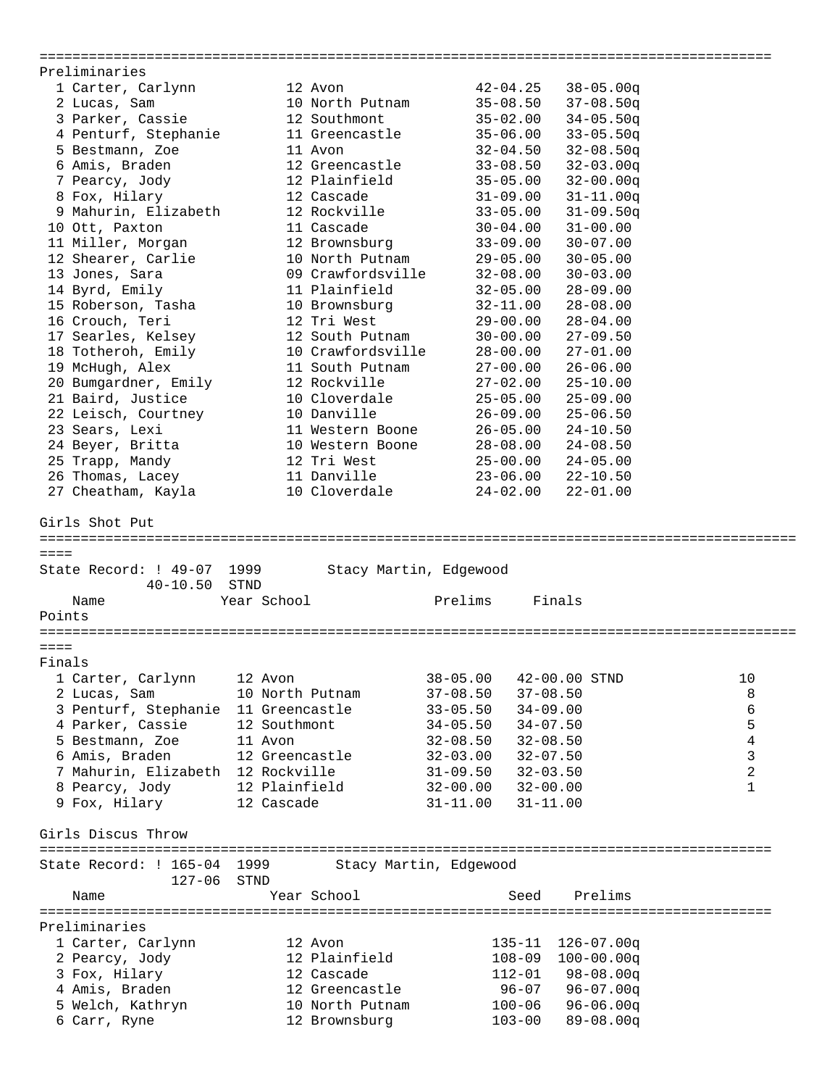========================================================================================= Preliminaries 1 Carter, Carlynn 12 Avon 42-04.25 38-05.00q 2 Lucas, Sam 10 North Putnam 35-08.50 37-08.50q 3 Parker, Cassie 12 Southmont 35-02.00 34-05.50q 4 Penturf, Stephanie 11 Greencastle 35-06.00 33-05.50q 5 Bestmann, Zoe 11 Avon 32-04.50 32-08.50q 6 Amis, Braden 12 Greencastle 33-08.50 32-03.00q 7 Pearcy, Jody 12 Plainfield 35-05.00 32-00.00q 8 Fox, Hilary 12 Cascade 31-09.00 31-11.00q 9 Mahurin, Elizabeth 12 Rockville 33-05.00 31-09.50q 10 Ott, Paxton 11 Cascade 30-04.00 31-00.00 11 Miller, Morgan 12 Brownsburg 33-09.00 30-07.00 12 Shearer, Carlie 10 North Putnam 29-05.00 30-05.00 13 Jones, Sara 09 Crawfordsville 32-08.00 30-03.00 14 Byrd, Emily 11 Plainfield 32-05.00 28-09.00 15 Roberson, Tasha 10 Brownsburg 32-11.00 28-08.00 16 Crouch, Teri 12 Tri West 29-00.00 28-04.00 17 Searles, Kelsey 12 South Putnam 30-00.00 27-09.50 18 Totheroh, Emily 10 Crawfordsville 28-00.00 27-01.00 19 McHugh, Alex 11 South Putnam 27-00.00 26-06.00 20 Bumgardner, Emily 12 Rockville 27-02.00 25-10.00 21 Baird, Justice 10 Cloverdale 25-05.00 25-09.00 22 Leisch, Courtney 10 Danville 26-09.00 25-06.50 23 Sears, Lexi 11 Western Boone 26-05.00 24-10.50 24 Beyer, Britta 10 Western Boone 28-08.00 24-08.50 25 Trapp, Mandy 12 Tri West 25-00.00 24-05.00 26 Thomas, Lacey 11 Danville 23-06.00 22-10.50 27 Cheatham, Kayla 10 Cloverdale 24-02.00 22-01.00 Girls Shot Put ============================================================================================ ==== State Record: ! 49-07 1999 Stacy Martin, Edgewood 40-10.50 STND Name Year School Prelims Finals Points ============================================================================================ ==== Finals 1 Carter, Carlynn 12 Avon 38-05.00 42-00.00 STND 10 2 Lucas, Sam 10 North Putnam 37-08.50 37-08.50 8 3 Penturf, Stephanie 11 Greencastle 33-05.50 34-09.00 6 4 Parker, Cassie 12 Southmont 34-05.50 34-07.50 5 5 Bestmann, Zoe 11 Avon 32-08.50 32-08.50 4 6 Amis, Braden 12 Greencastle 32-03.00 32-07.50 3 7 Mahurin, Elizabeth 12 Rockville 31-09.50 32-03.50 2 8 Pearcy, Jody 12 Plainfield 32-00.00 32-00.00 1 9 Fox, Hilary 12 Cascade 31-11.00 31-11.00 Girls Discus Throw ========================================================================================= State Record: ! 165-04 1999 Stacy Martin, Edgewood 127-06 STND Name Year School Seed Prelims ========================================================================================= Preliminaries 1 Carter, Carlynn 12 Avon 135-11 126-07.00q 2 Pearcy, Jody 12 Plainfield 108-09 100-00.00q 3 Fox, Hilary 12 Cascade 112-01 98-08.00q 4 Amis, Braden 12 Greencastle 96-07 96-07.00q 5 Welch, Kathryn 10 North Putnam 100-06 96-06.00q 6 Carr, Ryne 12 Brownsburg 103-00 89-08.00q